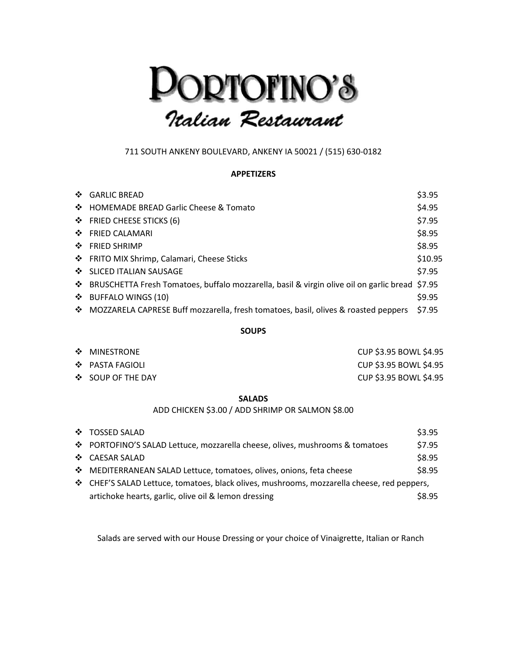# **DORTOFINO'S**<br>Italian Restaurant

# 711 SOUTH ANKENY BOULEVARD, ANKENY IA 50021 / (515) 630-0182

## **APPETIZERS**

| ❖ GARLIC BREAD                                                                                   | \$3.95  |
|--------------------------------------------------------------------------------------------------|---------|
| ❖ HOMEMADE BREAD Garlic Cheese & Tomato                                                          | \$4.95  |
| $\div$ FRIED CHEESE STICKS (6)                                                                   | \$7.95  |
| ❖ FRIED CALAMARI                                                                                 | \$8.95  |
| ❖ FRIED SHRIMP                                                                                   | \$8.95  |
| ❖ FRITO MIX Shrimp, Calamari, Cheese Sticks                                                      | \$10.95 |
| ❖ SLICED ITALIAN SAUSAGE                                                                         | \$7.95  |
| ❖ BRUSCHETTA Fresh Tomatoes, buffalo mozzarella, basil & virgin olive oil on garlic bread \$7.95 |         |
| $\div$ BUFFALO WINGS (10)                                                                        | \$9.95  |
| ❖ MOZZARELA CAPRESE Buff mozzarella, fresh tomatoes, basil, olives & roasted peppers             | \$7.95  |
|                                                                                                  |         |

#### **SOUPS**

| ❖ MINESTRONE              | CUP \$3.95 BOWL \$4.95 |
|---------------------------|------------------------|
| $\clubsuit$ PASTA FAGIOLI | CUP \$3.95 BOWL \$4.95 |
| ❖ SOUP OF THE DAY         | CUP \$3.95 BOWL \$4.95 |

#### **SALADS**

ADD CHICKEN \$3.00 / ADD SHRIMP OR SALMON \$8.00

| ❖ TOSSED SALAD                                                                             | \$3.95 |
|--------------------------------------------------------------------------------------------|--------|
| ❖ PORTOFINO'S SALAD Lettuce, mozzarella cheese, olives, mushrooms & tomatoes               | \$7.95 |
| ❖ CAESAR SALAD                                                                             | \$8.95 |
| ❖ MEDITERRANEAN SALAD Lettuce, tomatoes, olives, onions, feta cheese                       | \$8.95 |
| ❖ CHEF'S SALAD Lettuce, tomatoes, black olives, mushrooms, mozzarella cheese, red peppers, |        |
| artichoke hearts, garlic, olive oil & lemon dressing                                       | \$8.95 |

Salads are served with our House Dressing or your choice of Vinaigrette, Italian or Ranch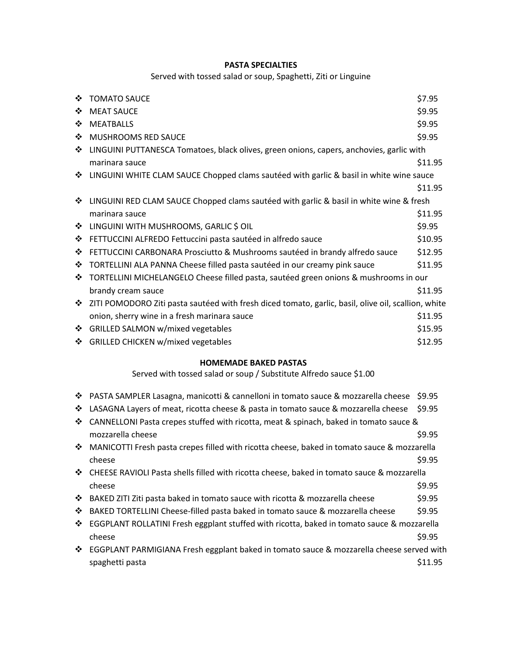# **PASTA SPECIALTIES**

# Served with tossed salad or soup, Spaghetti, Ziti or Linguine

| ❖ | <b>TOMATO SAUCE</b>                                                                                 | \$7.95  |
|---|-----------------------------------------------------------------------------------------------------|---------|
| ❖ | <b>MEAT SAUCE</b>                                                                                   | \$9.95  |
| ❖ | <b>MEATBALLS</b>                                                                                    | \$9.95  |
| ❖ | MUSHROOMS RED SAUCE                                                                                 | \$9.95  |
| ❖ | LINGUINI PUTTANESCA Tomatoes, black olives, green onions, capers, anchovies, garlic with            |         |
|   | marinara sauce                                                                                      | \$11.95 |
| ❖ | LINGUINI WHITE CLAM SAUCE Chopped clams sautéed with garlic & basil in white wine sauce             |         |
|   |                                                                                                     | \$11.95 |
| ❖ | LINGUINI RED CLAM SAUCE Chopped clams sautéed with garlic & basil in white wine & fresh             |         |
|   | marinara sauce                                                                                      | \$11.95 |
| ❖ | LINGUINI WITH MUSHROOMS, GARLIC \$ OIL                                                              | \$9.95  |
| ❖ | FETTUCCINI ALFREDO Fettuccini pasta sautéed in alfredo sauce                                        | \$10.95 |
| ❖ | FETTUCCINI CARBONARA Prosciutto & Mushrooms sautéed in brandy alfredo sauce                         | \$12.95 |
| ❖ | TORTELLINI ALA PANNA Cheese filled pasta sautéed in our creamy pink sauce                           | \$11.95 |
| ❖ | TORTELLINI MICHELANGELO Cheese filled pasta, sautéed green onions & mushrooms in our                |         |
|   | brandy cream sauce                                                                                  | \$11.95 |
| ❖ | ZITI POMODORO Ziti pasta sautéed with fresh diced tomato, garlic, basil, olive oil, scallion, white |         |
|   | onion, sherry wine in a fresh marinara sauce                                                        | \$11.95 |
| ❖ | GRILLED SALMON w/mixed vegetables                                                                   | \$15.95 |
| ❖ | <b>GRILLED CHICKEN w/mixed vegetables</b>                                                           | \$12.95 |

# **HOMEMADE BAKED PASTAS**

Served with tossed salad or soup / Substitute Alfredo sauce \$1.00

|              | ❖ PASTA SAMPLER Lasagna, manicotti & cannelloni in tomato sauce & mozzarella cheese           | \$9.95  |
|--------------|-----------------------------------------------------------------------------------------------|---------|
| ❖            | LASAGNA Layers of meat, ricotta cheese & pasta in tomato sauce & mozzarella cheese            | \$9.95  |
| ❖            | CANNELLONI Pasta crepes stuffed with ricotta, meat & spinach, baked in tomato sauce &         |         |
|              | mozzarella cheese                                                                             | \$9.95  |
|              | ❖ MANICOTTI Fresh pasta crepes filled with ricotta cheese, baked in tomato sauce & mozzarella |         |
|              | cheese                                                                                        | \$9.95  |
|              | ❖ CHEESE RAVIOLI Pasta shells filled with ricotta cheese, baked in tomato sauce & mozzarella  |         |
|              | cheese                                                                                        | \$9.95  |
|              | ❖ BAKED ZITI Ziti pasta baked in tomato sauce with ricotta & mozzarella cheese                | \$9.95  |
| ❖            | BAKED TORTELLINI Cheese-filled pasta baked in tomato sauce & mozzarella cheese                | \$9.95  |
| $\mathbf{A}$ | EGGPLANT ROLLATINI Fresh eggplant stuffed with ricotta, baked in tomato sauce & mozzarella    |         |
|              | cheese                                                                                        | \$9.95  |
|              | ❖ EGGPLANT PARMIGIANA Fresh eggplant baked in tomato sauce & mozzarella cheese served with    |         |
|              | spaghetti pasta                                                                               | \$11.95 |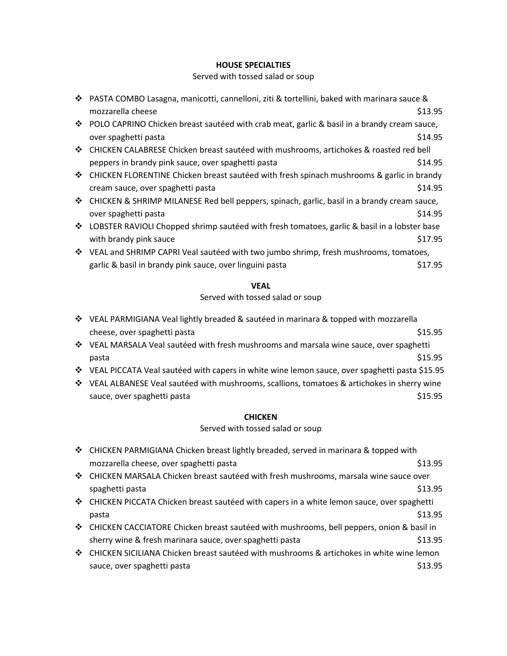## **HOUSE SPECIALTIES**

## Served with tossed salad or soup

|   | ❖ PASTA COMBO Lasagna, manicotti, cannelloni, ziti & tortellini, baked with marinara sauce &   |         |
|---|------------------------------------------------------------------------------------------------|---------|
|   | mozzarella cheese                                                                              | \$13.95 |
|   | ❖ POLO CAPRINO Chicken breast sautéed with crab meat, garlic & basil in a brandy cream sauce,  |         |
|   | over spaghetti pasta                                                                           | \$14.95 |
|   | ❖ CHICKEN CALABRESE Chicken breast sautéed with mushrooms, artichokes & roasted red bell       |         |
|   | peppers in brandy pink sauce, over spaghetti pasta                                             | \$14.95 |
| ❖ | CHICKEN FLORENTINE Chicken breast sautéed with fresh spinach mushrooms & garlic in brandy      |         |
|   | cream sauce, over spaghetti pasta                                                              | \$14.95 |
|   | ❖ CHICKEN & SHRIMP MILANESE Red bell peppers, spinach, garlic, basil in a brandy cream sauce,  |         |
|   | over spaghetti pasta                                                                           | \$14.95 |
|   | ❖ LOBSTER RAVIOLI Chopped shrimp sautéed with fresh tomatoes, garlic & basil in a lobster base |         |
|   | with brandy pink sauce                                                                         | \$17.95 |
|   | ❖ VEAL and SHRIMP CAPRI Veal sautéed with two jumbo shrimp, fresh mushrooms, tomatoes,         |         |
|   | garlic & basil in brandy pink sauce, over linguini pasta                                       | \$17.95 |
|   |                                                                                                |         |

## **VEAL**

#### Served with tossed salad or soup

- VEAL PARMIGIANA Veal lightly breaded & sautéed in marinara & topped with mozzarella cheese, over spaghetti pasta  $\frac{15.95}{25.95}$
- VEAL MARSALA Veal sautéed with fresh mushrooms and marsala wine sauce, over spaghetti  $\beta$ 15.95
- VEAL PICCATA Veal sautéed with capers in white wine lemon sauce, over spaghetti pasta \$15.95
- VEAL ALBANESE Veal sautéed with mushrooms, scallions, tomatoes & artichokes in sherry wine sauce, over spaghetti pasta  $\frac{15.95}{25.95}$

#### **CHICKEN**

## Served with tossed salad or soup

| ❖ CHICKEN PARMIGIANA Chicken breast lightly breaded, served in marinara & topped with       |         |
|---------------------------------------------------------------------------------------------|---------|
| mozzarella cheese, over spaghetti pasta                                                     | \$13.95 |
| ❖ CHICKEN MARSALA Chicken breast sautéed with fresh mushrooms, marsala wine sauce over      |         |
| spaghetti pasta                                                                             | \$13.95 |
| ❖ CHICKEN PICCATA Chicken breast sautéed with capers in a white lemon sauce, over spaghetti |         |
| pasta                                                                                       | \$13.95 |
| ❖ CHICKEN CACCIATORE Chicken breast sautéed with mushrooms, bell peppers, onion & basil in  |         |
| sherry wine & fresh marinara sauce, over spaghetti pasta                                    | \$13.95 |
| ❖ CHICKEN SICILIANA Chicken breast sautéed with mushrooms & artichokes in white wine lemon  |         |
| sauce, over spaghetti pasta                                                                 | \$13.95 |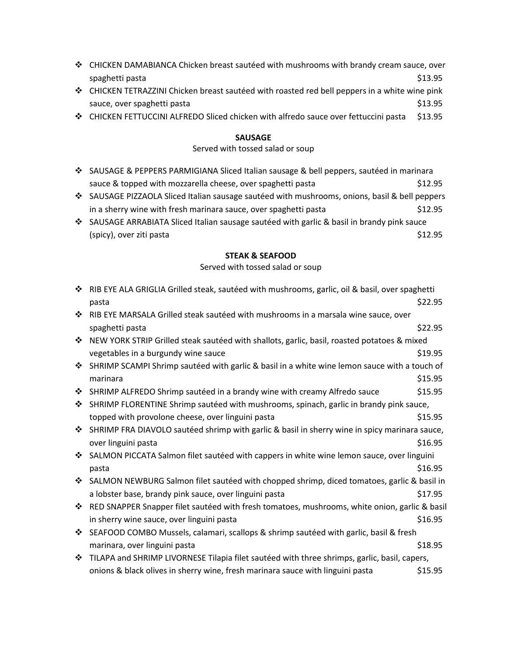| ❖ CHICKEN DAMABIANCA Chicken breast sautéed with mushrooms with brandy cream sauce, over     |
|----------------------------------------------------------------------------------------------|
| \$13.95<br>spaghetti pasta                                                                   |
| LHICKEN TETRAZZINI Chicken breast sautéed with roasted red bell peppers in a white wine pink |

- sauce, over spaghetti pasta  $\frac{1}{2}$  sauce, over spaghetti pasta
- CHICKEN FETTUCCINI ALFREDO Sliced chicken with alfredo sauce over fettuccini pasta \$13.95

# **SAUSAGE**

# Served with tossed salad or soup

| ❖ SAUSAGE & PEPPERS PARMIGIANA Sliced Italian sausage & bell peppers, sautéed in marinara                 |         |
|-----------------------------------------------------------------------------------------------------------|---------|
| sauce & topped with mozzarella cheese, over spaghetti pasta                                               | \$12.95 |
| $\clubsuit$ SALISAGE PIZZAOLA Sliced Italian sausage sautéed with mushrooms, onions, hasil & hell nenners |         |

- $\clubsuit$  SAUSAGE PIZZAOLA Sliced Italian sausage sautéed with mushrooms, onions, basil & bell peppers in a sherry wine with fresh marinara sauce, over spaghetti pasta  $$12.95$
- SAUSAGE ARRABIATA Sliced Italian sausage sautéed with garlic & basil in brandy pink sauce (spicy), over ziti pasta  $\text{512.95}$

# **STEAK & SEAFOOD**

## Served with tossed salad or soup

| ❖ | RIB EYE ALA GRIGLIA Grilled steak, sautéed with mushrooms, garlic, oil & basil, over spaghetti |         |
|---|------------------------------------------------------------------------------------------------|---------|
|   | pasta                                                                                          | \$22.95 |
| ❖ | RIB EYE MARSALA Grilled steak sautéed with mushrooms in a marsala wine sauce, over             |         |
|   | spaghetti pasta                                                                                | \$22.95 |
| ❖ | NEW YORK STRIP Grilled steak sautéed with shallots, garlic, basil, roasted potatoes & mixed    |         |
|   | vegetables in a burgundy wine sauce                                                            | \$19.95 |
| ❖ | SHRIMP SCAMPI Shrimp sautéed with garlic & basil in a white wine lemon sauce with a touch of   |         |
|   | marinara                                                                                       | \$15.95 |
| ❖ | SHRIMP ALFREDO Shrimp sautéed in a brandy wine with creamy Alfredo sauce                       | \$15.95 |
| ❖ | SHRIMP FLORENTINE Shrimp sautéed with mushrooms, spinach, garlic in brandy pink sauce,         |         |
|   | topped with provolone cheese, over linguini pasta                                              | \$15.95 |
| ❖ | SHRIMP FRA DIAVOLO sautéed shrimp with garlic & basil in sherry wine in spicy marinara sauce,  |         |
|   | over linguini pasta                                                                            | \$16.95 |
| ❖ | SALMON PICCATA Salmon filet sautéed with cappers in white wine lemon sauce, over linguini      |         |
|   | pasta                                                                                          | \$16.95 |
| ❖ | SALMON NEWBURG Salmon filet sautéed with chopped shrimp, diced tomatoes, garlic & basil in     |         |
|   | a lobster base, brandy pink sauce, over linguini pasta                                         | \$17.95 |
| ❖ | RED SNAPPER Snapper filet sautéed with fresh tomatoes, mushrooms, white onion, garlic & basil  |         |
|   | in sherry wine sauce, over linguini pasta                                                      | \$16.95 |
| ❖ | SEAFOOD COMBO Mussels, calamari, scallops & shrimp sautéed with garlic, basil & fresh          |         |
|   | marinara, over linguini pasta                                                                  | \$18.95 |
| ❖ | TILAPA and SHRIMP LIVORNESE Tilapia filet sautéed with three shrimps, garlic, basil, capers,   |         |
|   | onions & black olives in sherry wine, fresh marinara sauce with linguini pasta                 | \$15.95 |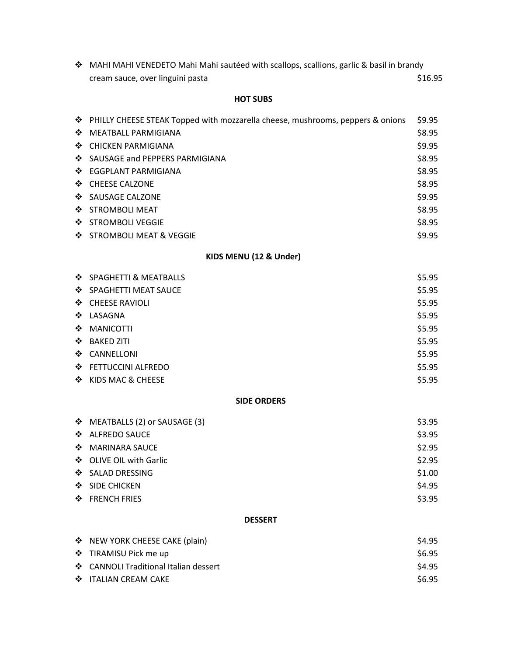| ❖ MAHI MAHI VENEDETO Mahi Mahi sautéed with scallops, scallions, garlic & basil in brandy |         |
|-------------------------------------------------------------------------------------------|---------|
| cream sauce, over linguini pasta                                                          | \$16.95 |

## **HOT SUBS**

| ❖ PHILLY CHEESE STEAK Topped with mozzarella cheese, mushrooms, peppers & onions | \$9.95 |
|----------------------------------------------------------------------------------|--------|
| ❖ MEATBALL PARMIGIANA                                                            | \$8.95 |
| ❖ CHICKEN PARMIGIANA                                                             | \$9.95 |
| ❖ SAUSAGE and PEPPERS PARMIGIANA                                                 | \$8.95 |
| ❖ EGGPLANT PARMIGIANA                                                            | \$8.95 |
| ❖ CHEESE CALZONE                                                                 | \$8.95 |
| ❖ SAUSAGE CALZONE                                                                | \$9.95 |
| ❖ STROMBOLI MEAT                                                                 | \$8.95 |
| ❖ STROMBOLI VEGGIE                                                               | \$8.95 |
| ❖ STROMBOLI MEAT & VEGGIE                                                        | \$9.95 |

# **KIDS MENU (12 & Under)**

| ❖ SPAGHETTI & MEATBALLS | \$5.95 |
|-------------------------|--------|
| ❖ SPAGHETTI MEAT SAUCE  | \$5.95 |
| ❖ CHEESE RAVIOLI        | \$5.95 |
| ❖ LASAGNA               | \$5.95 |
| ❖ MANICOTTI             | \$5.95 |
| ❖ BAKED ZITI            | \$5.95 |
| ❖ CANNELLONI            | \$5.95 |
| ❖ FETTUCCINI ALFREDO    | \$5.95 |
| ❖ KIDS MAC & CHEESE     | \$5.95 |

## **SIDE ORDERS**

| ❖ MEATBALLS (2) or SAUSAGE (3) | \$3.95 |
|--------------------------------|--------|
| ❖ ALFREDO SAUCE                | \$3.95 |
| ❖ MARINARA SAUCE               | \$2.95 |
| ❖ OLIVE OIL with Garlic        | \$2.95 |
| ❖ SALAD DRESSING               | \$1.00 |
| ❖ SIDE CHICKEN                 | \$4.95 |
| ❖ FRENCH FRIES                 | \$3.95 |
|                                |        |

# **DESSERT**

| ❖ NEW YORK CHEESE CAKE (plain)        | \$4.95 |
|---------------------------------------|--------|
| ❖ TIRAMISU Pick me up                 | S6.95  |
| ❖ CANNOLI Traditional Italian dessert | \$4.95 |
| ❖ ITALIAN CREAM CAKE                  | S6.95  |